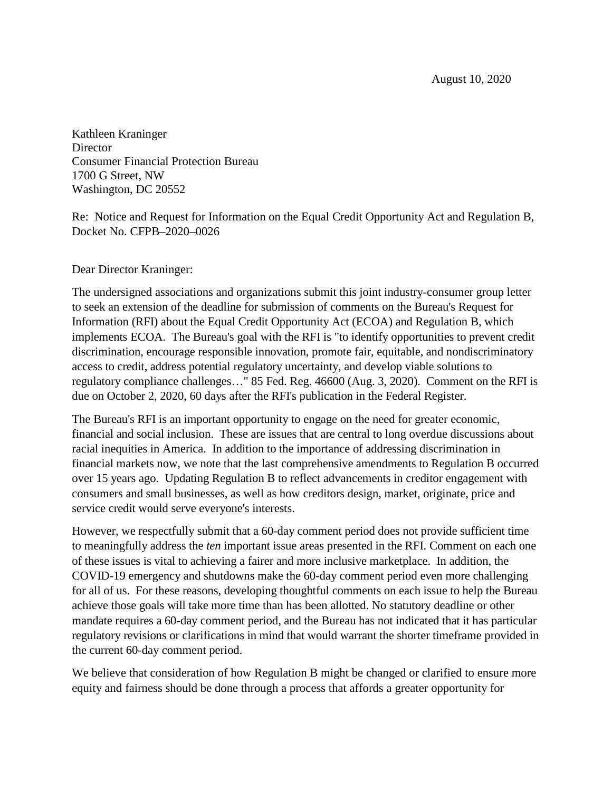August 10, 2020

Kathleen Kraninger **Director** Consumer Financial Protection Bureau 1700 G Street, NW Washington, DC 20552

Re: Notice and Request for Information on the Equal Credit Opportunity Act and Regulation B, Docket No. CFPB–2020–0026

Dear Director Kraninger:

The undersigned associations and organizations submit this joint industry-consumer group letter to seek an extension of the deadline for submission of comments on the Bureau's Request for Information (RFI) about the Equal Credit Opportunity Act (ECOA) and Regulation B, which implements ECOA. The Bureau's goal with the RFI is "to identify opportunities to prevent credit discrimination, encourage responsible innovation, promote fair, equitable, and nondiscriminatory access to credit, address potential regulatory uncertainty, and develop viable solutions to regulatory compliance challenges…" 85 Fed. Reg. 46600 (Aug. 3, 2020). Comment on the RFI is due on October 2, 2020, 60 days after the RFI's publication in the Federal Register.

The Bureau's RFI is an important opportunity to engage on the need for greater economic, financial and social inclusion. These are issues that are central to long overdue discussions about racial inequities in America. In addition to the importance of addressing discrimination in financial markets now, we note that the last comprehensive amendments to Regulation B occurred over 15 years ago. Updating Regulation B to reflect advancements in creditor engagement with consumers and small businesses, as well as how creditors design, market, originate, price and service credit would serve everyone's interests.

However, we respectfully submit that a 60-day comment period does not provide sufficient time to meaningfully address the *ten* important issue areas presented in the RFI. Comment on each one of these issues is vital to achieving a fairer and more inclusive marketplace. In addition, the COVID-19 emergency and shutdowns make the 60-day comment period even more challenging for all of us. For these reasons, developing thoughtful comments on each issue to help the Bureau achieve those goals will take more time than has been allotted. No statutory deadline or other mandate requires a 60-day comment period, and the Bureau has not indicated that it has particular regulatory revisions or clarifications in mind that would warrant the shorter timeframe provided in the current 60-day comment period.

We believe that consideration of how Regulation B might be changed or clarified to ensure more equity and fairness should be done through a process that affords a greater opportunity for